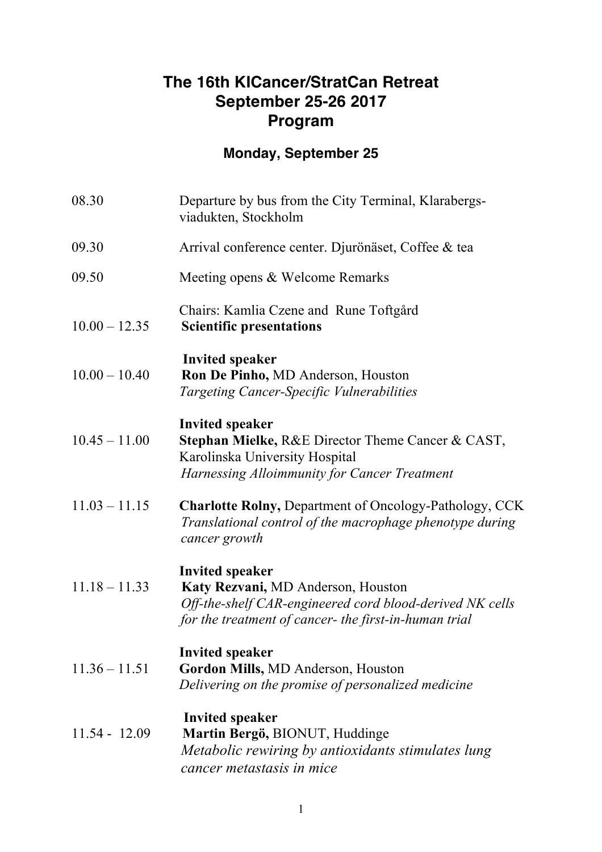### **The 16th KICancer/StratCan Retreat September 25-26 2017 Program**

# **Monday, September 25**

| 08.30           | Departure by bus from the City Terminal, Klarabergs-<br>viadukten, Stockholm                                                                                                      |
|-----------------|-----------------------------------------------------------------------------------------------------------------------------------------------------------------------------------|
| 09.30           | Arrival conference center. Djurönäset, Coffee & tea                                                                                                                               |
| 09.50           | Meeting opens & Welcome Remarks                                                                                                                                                   |
| $10.00 - 12.35$ | Chairs: Kamlia Czene and Rune Toftgård<br><b>Scientific presentations</b>                                                                                                         |
| $10.00 - 10.40$ | <b>Invited speaker</b><br>Ron De Pinho, MD Anderson, Houston<br>Targeting Cancer-Specific Vulnerabilities                                                                         |
| $10.45 - 11.00$ | <b>Invited speaker</b><br><b>Stephan Mielke, R&amp;E Director Theme Cancer &amp; CAST,</b><br>Karolinska University Hospital<br>Harnessing Alloimmunity for Cancer Treatment      |
| $11.03 - 11.15$ | <b>Charlotte Rolny, Department of Oncology-Pathology, CCK</b><br>Translational control of the macrophage phenotype during<br>cancer growth                                        |
| $11.18 - 11.33$ | <b>Invited speaker</b><br>Katy Rezvani, MD Anderson, Houston<br>Off-the-shelf CAR-engineered cord blood-derived NK cells<br>for the treatment of cancer- the first-in-human trial |
| $11.36 - 11.51$ | <b>Invited speaker</b><br>Gordon Mills, MD Anderson, Houston<br>Delivering on the promise of personalized medicine                                                                |
| $11.54 - 12.09$ | <b>Invited speaker</b><br>Martin Bergö, BIONUT, Huddinge<br>Metabolic rewiring by antioxidants stimulates lung<br>cancer metastasis in mice                                       |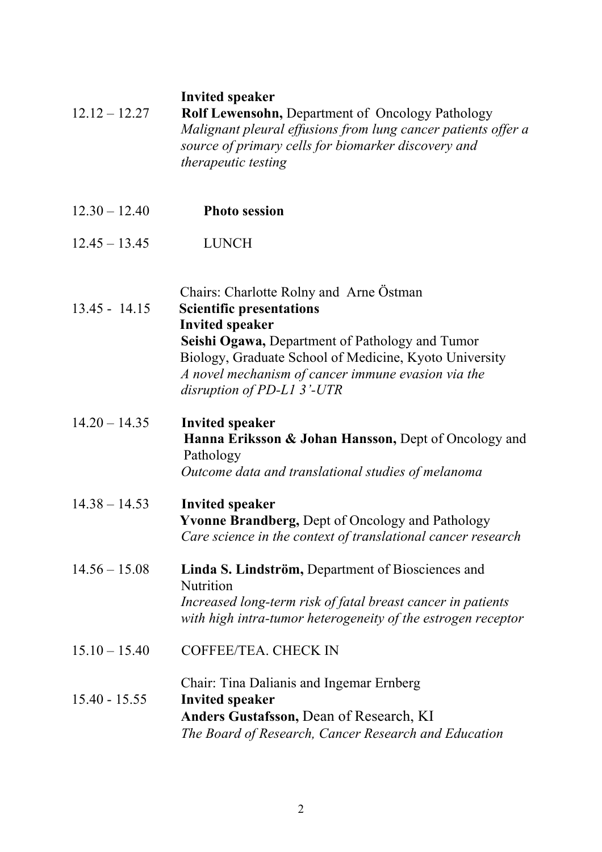#### **Invited speaker**

| $12.12 - 12.27$ | <b>Rolf Lewensohn, Department of Oncology Pathology</b>       |
|-----------------|---------------------------------------------------------------|
|                 | Malignant pleural effusions from lung cancer patients offer a |
|                 | source of primary cells for biomarker discovery and           |
|                 | <i>therapeutic testing</i>                                    |

- 12.30 12.40 **Photo session**
- 12.45 13.45 LUNCH

Chairs: Charlotte Rolny and Arne Östman

13.45 - 14.15 **Scientific presentations Invited speaker Seishi Ogawa,** Department of Pathology and Tumor Biology, Graduate School of Medicine, Kyoto University *A novel mechanism of cancer immune evasion via the disruption of PD-L1 3'-UTR*

#### 14.20 – 14.35 **Invited speaker Hanna Eriksson & Johan Hansson,** Dept of Oncology and Pathology *Outcome data and translational studies of melanoma*

14.38 – 14.53 **Invited speaker Yvonne Brandberg,** Dept of Oncology and Pathology *Care science in the context of translational cancer research*

- 14.56 15.08 **Linda S. Lindström,** Department of Biosciences and **Nutrition** *Increased long-term risk of fatal breast cancer in patients with high intra-tumor heterogeneity of the estrogen receptor*
- 15.10 15.40 COFFEE/TEA. CHECK IN
- Chair: Tina Dalianis and Ingemar Ernberg 15.40 - 15.55 **Invited speaker Anders Gustafsson,** Dean of Research, KI *The Board of Research, Cancer Research and Education*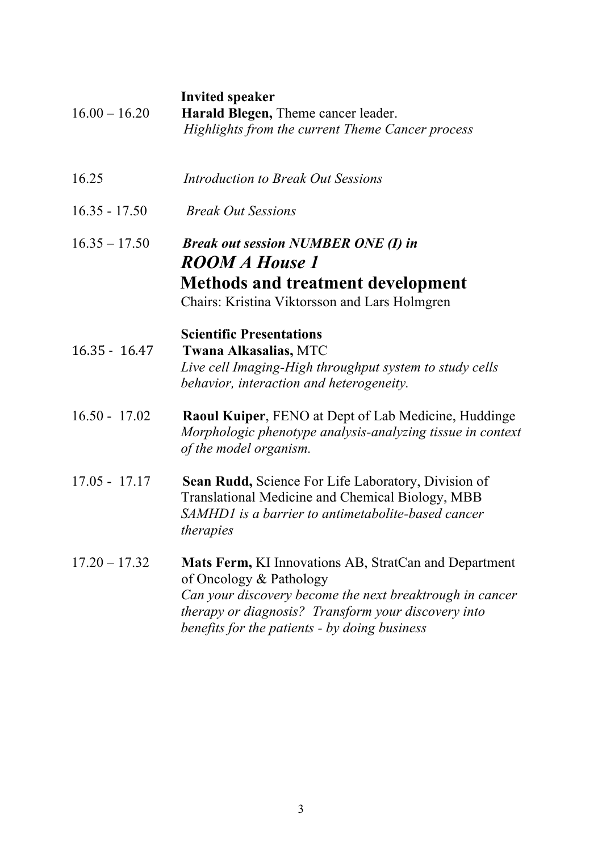|                 | <b>Invited speaker</b>                                                                                                    |
|-----------------|---------------------------------------------------------------------------------------------------------------------------|
| $16.00 - 16.20$ | Harald Blegen, Theme cancer leader.                                                                                       |
|                 | Highlights from the current Theme Cancer process                                                                          |
|                 |                                                                                                                           |
| 16.25           | Introduction to Break Out Sessions                                                                                        |
|                 |                                                                                                                           |
| $16.35 - 17.50$ | <b>Break Out Sessions</b>                                                                                                 |
| $16.35 - 17.50$ | <b>Break out session NUMBER ONE (I) in</b>                                                                                |
|                 | ROOM A House 1                                                                                                            |
|                 | <b>Methods and treatment development</b>                                                                                  |
|                 | Chairs: Kristina Viktorsson and Lars Holmgren                                                                             |
|                 |                                                                                                                           |
|                 | <b>Scientific Presentations</b>                                                                                           |
| $16.35 - 16.47$ | <b>Twana Alkasalias, MTC</b>                                                                                              |
|                 | Live cell Imaging-High throughput system to study cells                                                                   |
|                 | behavior, interaction and heterogeneity.                                                                                  |
| $16.50 - 17.02$ |                                                                                                                           |
|                 | <b>Raoul Kuiper, FENO at Dept of Lab Medicine, Huddinge</b><br>Morphologic phenotype analysis-analyzing tissue in context |
|                 | of the model organism.                                                                                                    |
|                 |                                                                                                                           |
| $17.05 - 17.17$ | <b>Sean Rudd, Science For Life Laboratory, Division of</b>                                                                |
|                 | <b>Translational Medicine and Chemical Biology, MBB</b>                                                                   |
|                 | SAMHD1 is a barrier to antimetabolite-based cancer                                                                        |
|                 | therapies                                                                                                                 |
| $17.20 - 17.32$ | Mats Ferm, KI Innovations AB, StratCan and Department                                                                     |
|                 | of Oncology & Pathology                                                                                                   |
|                 | Can your discovery become the next breaktrough in cancer                                                                  |
|                 | therapy or diagnosis? Transform your discovery into                                                                       |
|                 | benefits for the patients - by doing business                                                                             |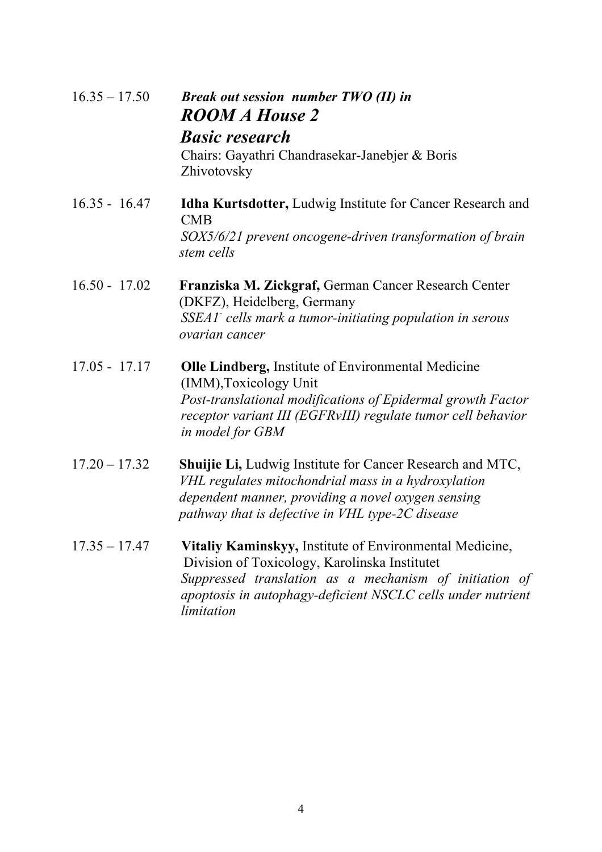| $16.35 - 17.50$ | <b>Break out session number TWO (II) in</b><br><b>ROOM A House 2</b><br><b>Basic research</b><br>Chairs: Gayathri Chandrasekar-Janebjer & Boris<br>Zhivotovsky                                                                                  |
|-----------------|-------------------------------------------------------------------------------------------------------------------------------------------------------------------------------------------------------------------------------------------------|
| $16.35 - 16.47$ | Idha Kurtsdotter, Ludwig Institute for Cancer Research and<br>CMB<br>SOX5/6/21 prevent oncogene-driven transformation of brain<br>stem cells                                                                                                    |
| $16.50 - 17.02$ | Franziska M. Zickgraf, German Cancer Research Center<br>(DKFZ), Heidelberg, Germany<br>SSEA1 <sup>-</sup> cells mark a tumor-initiating population in serous<br>ovarian cancer                                                                  |
| $17.05 - 17.17$ | <b>Olle Lindberg, Institute of Environmental Medicine</b><br>(IMM), Toxicology Unit<br>Post-translational modifications of Epidermal growth Factor<br>receptor variant III (EGFRvIII) regulate tumor cell behavior<br>in model for GBM          |
| $17.20 - 17.32$ | <b>Shuijie Li, Ludwig Institute for Cancer Research and MTC,</b><br>VHL regulates mitochondrial mass in a hydroxylation<br>dependent manner, providing a novel oxygen sensing<br>pathway that is defective in VHL type-2C disease               |
| $17.35 - 17.47$ | Vitaliy Kaminskyy, Institute of Environmental Medicine,<br>Division of Toxicology, Karolinska Institutet<br>Suppressed translation as a mechanism of initiation of<br>apoptosis in autophagy-deficient NSCLC cells under nutrient<br>limitation |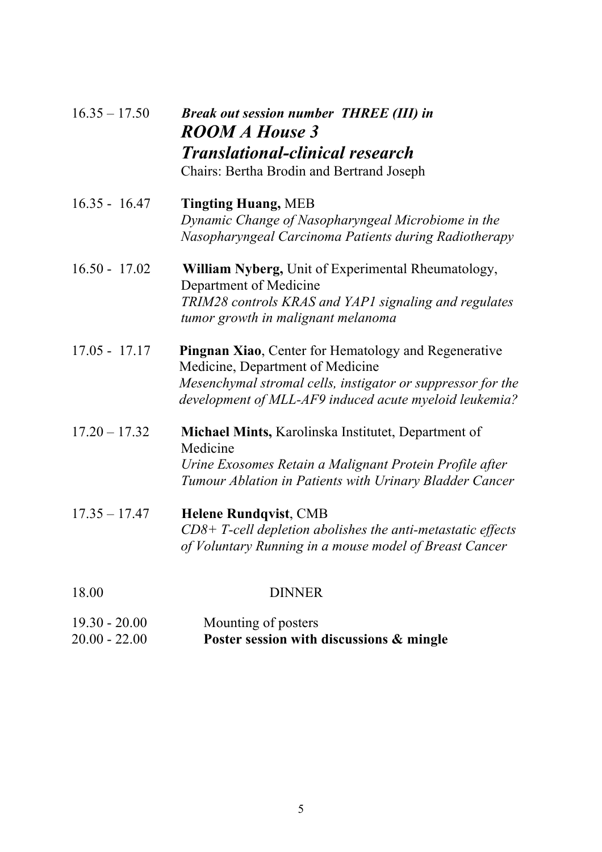| $16.35 - 17.50$ | <b>Break out session number THREE (III) in</b><br><b>ROOM A House 3</b><br><b>Translational-clinical research</b><br>Chairs: Bertha Brodin and Bertrand Joseph                                                           |
|-----------------|--------------------------------------------------------------------------------------------------------------------------------------------------------------------------------------------------------------------------|
| $16.35 - 16.47$ | <b>Tingting Huang, MEB</b><br>Dynamic Change of Nasopharyngeal Microbiome in the<br>Nasopharyngeal Carcinoma Patients during Radiotherapy                                                                                |
| $16.50 - 17.02$ | <b>William Nyberg, Unit of Experimental Rheumatology,</b><br>Department of Medicine<br>TRIM28 controls KRAS and YAP1 signaling and regulates<br>tumor growth in malignant melanoma                                       |
| $17.05 - 17.17$ | <b>Pingnan Xiao, Center for Hematology and Regenerative</b><br>Medicine, Department of Medicine<br>Mesenchymal stromal cells, instigator or suppressor for the<br>development of MLL-AF9 induced acute myeloid leukemia? |
| $17.20 - 17.32$ | Michael Mints, Karolinska Institutet, Department of<br>Medicine<br>Urine Exosomes Retain a Malignant Protein Profile after<br>Tumour Ablation in Patients with Urinary Bladder Cancer                                    |
| $17.35 - 17.47$ | <b>Helene Rundqvist, CMB</b><br>$CD8+$ T-cell depletion abolishes the anti-metastatic effects<br>of Voluntary Running in a mouse model of Breast Cancer                                                                  |
| 18.00           | <b>DINNER</b>                                                                                                                                                                                                            |

| $19.30 - 20.00$ | Mounting of posters                      |
|-----------------|------------------------------------------|
| $20.00 - 22.00$ | Poster session with discussions & mingle |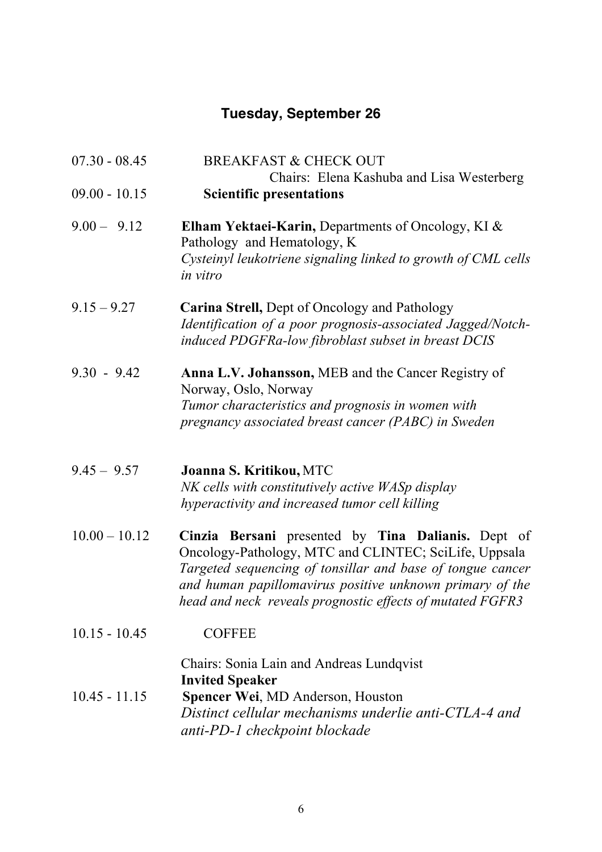## **Tuesday, September 26**

| $07.30 - 08.45$ | <b>BREAKFAST &amp; CHECK OUT</b>                                                                                                                                                                                                                                                                   |
|-----------------|----------------------------------------------------------------------------------------------------------------------------------------------------------------------------------------------------------------------------------------------------------------------------------------------------|
|                 | Chairs: Elena Kashuba and Lisa Westerberg                                                                                                                                                                                                                                                          |
| $09.00 - 10.15$ | <b>Scientific presentations</b>                                                                                                                                                                                                                                                                    |
| $9.00 - 9.12$   | Elham Yektaei-Karin, Departments of Oncology, KI &<br>Pathology and Hematology, K<br>Cysteinyl leukotriene signaling linked to growth of CML cells<br>in vitro                                                                                                                                     |
| $9.15 - 9.27$   | <b>Carina Strell, Dept of Oncology and Pathology</b><br>Identification of a poor prognosis-associated Jagged/Notch-<br>induced PDGFRa-low fibroblast subset in breast DCIS                                                                                                                         |
| $9.30 - 9.42$   | Anna L.V. Johansson, MEB and the Cancer Registry of<br>Norway, Oslo, Norway<br>Tumor characteristics and prognosis in women with<br>pregnancy associated breast cancer (PABC) in Sweden                                                                                                            |
| $9.45 - 9.57$   | Joanna S. Kritikou, MTC<br>NK cells with constitutively active WASp display<br>hyperactivity and increased tumor cell killing                                                                                                                                                                      |
| $10.00 - 10.12$ | Cinzia Bersani presented by Tina Dalianis. Dept of<br>Oncology-Pathology, MTC and CLINTEC; SciLife, Uppsala<br>Targeted sequencing of tonsillar and base of tongue cancer<br>and human papillomavirus positive unknown primary of the<br>head and neck reveals prognostic effects of mutated FGFR3 |
| $10.15 - 10.45$ | <b>COFFEE</b>                                                                                                                                                                                                                                                                                      |
| $10.45 - 11.15$ | Chairs: Sonia Lain and Andreas Lundqvist<br><b>Invited Speaker</b><br><b>Spencer Wei, MD Anderson, Houston</b><br>Distinct cellular mechanisms underlie anti-CTLA-4 and<br>anti-PD-1 checkpoint blockade                                                                                           |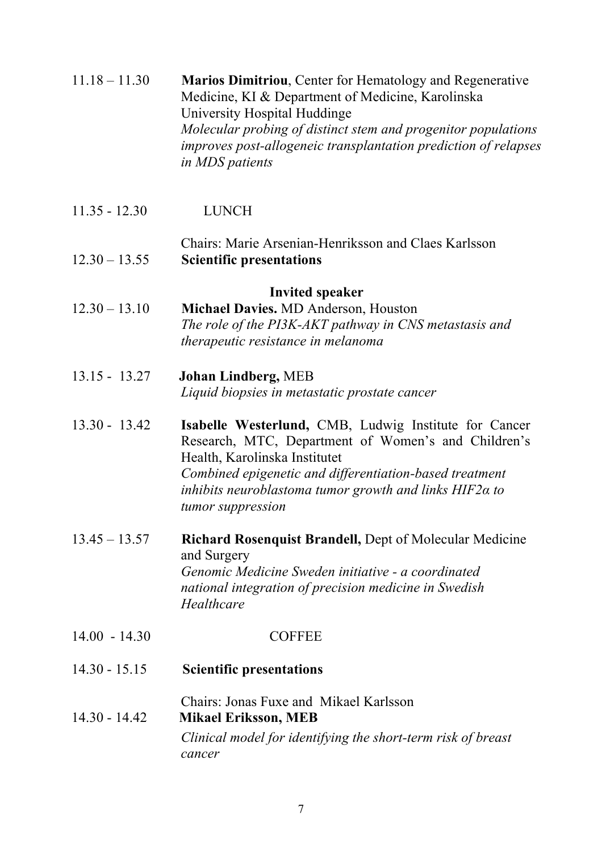| $11.18 - 11.30$ | <b>Marios Dimitriou, Center for Hematology and Regenerative</b> |
|-----------------|-----------------------------------------------------------------|
|                 | Medicine, KI & Department of Medicine, Karolinska               |
|                 | University Hospital Huddinge                                    |
|                 | Molecular probing of distinct stem and progenitor populations   |
|                 | improves post-allogeneic transplantation prediction of relapses |
|                 | <i>in MDS patients</i>                                          |

- 11.35 12.30 LUNCH
- Chairs: Marie Arsenian-Henriksson and Claes Karlsson 12.30 – 13.55 **Scientific presentations**

#### **Invited speaker**

- 12.30 13.10 **Michael Davies.** MD Anderson, Houston *The role of the PI3K-AKT pathway in CNS metastasis and therapeutic resistance in melanoma*
- 13.15 13.27 **Johan Lindberg,** MEB *Liquid biopsies in metastatic prostate cancer*
- 13.30 13.42 **Isabelle Westerlund,** CMB, Ludwig Institute for Cancer Research, MTC, Department of Women's and Children's Health, Karolinska Institutet *Combined epigenetic and differentiation-based treatment inhibits neuroblastoma tumor growth and links HIF2α to tumor suppression*
- 13.45 13.57 **Richard Rosenquist Brandell,** Dept of Molecular Medicine and Surgery *Genomic Medicine Sweden initiative - a coordinated national integration of precision medicine in Swedish Healthcare*
- 14.00 14.30 COFFEE
- 14.30 15.15 **Scientific presentations**
- Chairs: Jonas Fuxe and Mikael Karlsson 14.30 - 14.42 **Mikael Eriksson, MEB** *Clinical model for identifying the short-term risk of breast cancer*